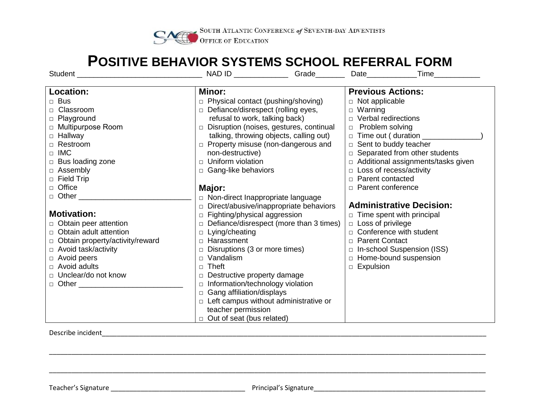

## **POSITIVE BEHAVIOR SYSTEMS SCHOOL REFERRAL FORM**

|                                        | NAD ID ______________Grade_______              | <b>Time</b><br>Date______________                                |
|----------------------------------------|------------------------------------------------|------------------------------------------------------------------|
|                                        |                                                |                                                                  |
| Location:                              | Minor:                                         | <b>Previous Actions:</b>                                         |
| $\Box$ Bus                             | $\Box$ Physical contact (pushing/shoving)      | $\Box$ Not applicable                                            |
| □ Classroom                            | $\Box$ Defiance/disrespect (rolling eyes,      | $\Box$ Warning                                                   |
| □ Playground                           | refusal to work, talking back)                 | $\Box$ Verbal redirections                                       |
| □ Multipurpose Room                    | Disruption (noises, gestures, continual        | $\Box$ Problem solving                                           |
| $\Box$ Hallway                         | talking, throwing objects, calling out)        | $\Box$ Time out (duration $\_\_\_\_\_\_\_\_\_\_\_\_\_\_\_\_\_\_$ |
| □ Restroom                             | $\Box$ Property misuse (non-dangerous and      | $\Box$ Sent to buddy teacher                                     |
| $\Box$ IMC                             | non-destructive)                               | $\Box$ Separated from other students                             |
| $\Box$ Bus loading zone                | $\Box$ Uniform violation                       | □ Additional assignments/tasks given                             |
| □ Assembly                             | □ Gang-like behaviors                          | □ Loss of recess/activity                                        |
| $\Box$ Field Trip                      |                                                | $\Box$ Parent contacted                                          |
| $\Box$ Office                          | Major:                                         | n Parent conference                                              |
| □ Other <u>_______________________</u> | □ Non-direct Inappropriate language            |                                                                  |
|                                        | $\Box$ Direct/abusive/inappropriate behaviors  | <b>Administrative Decision:</b>                                  |
| <b>Motivation:</b>                     | $\Box$ Fighting/physical aggression            | $\Box$ Time spent with principal                                 |
| $\Box$ Obtain peer attention           | $\Box$ Defiance/disrespect (more than 3 times) | D Loss of privilege                                              |
| $\Box$ Obtain adult attention          | $\Box$ Lying/cheating                          | $\Box$ Conference with student                                   |
| □ Obtain property/activity/reward      | □ Harassment                                   | □ Parent Contact                                                 |
| □ Avoid task/activity                  | $\Box$ Disruptions (3 or more times)           | $\Box$ In-school Suspension (ISS)                                |
| $\Box$ Avoid peers                     | $\Box$ Vandalism                               | □ Home-bound suspension                                          |
| $\Box$ Avoid adults                    | □ Theft                                        | $\Box$ Expulsion                                                 |
| □ Unclear/do not know                  | $\Box$ Destructive property damage             |                                                                  |
| $\Box$ Other $\Box$                    | $\Box$ Information/technology violation        |                                                                  |
|                                        | □ Gang affiliation/displays                    |                                                                  |
|                                        | $\Box$ Left campus without administrative or   |                                                                  |
|                                        | teacher permission                             |                                                                  |
|                                        | $\Box$ Out of seat (bus related)               |                                                                  |

Describe incident\_\_\_\_\_\_\_\_\_\_\_\_\_\_\_\_\_\_\_\_\_\_\_\_\_\_\_\_\_\_\_\_\_\_\_\_\_\_\_\_\_\_\_\_\_\_\_\_\_\_\_\_\_\_\_\_\_\_\_\_\_\_\_\_\_\_\_\_\_\_\_\_\_\_\_\_\_\_\_\_\_\_\_\_\_\_\_\_\_\_\_\_\_\_\_\_\_\_\_\_\_\_\_

\_\_\_\_\_\_\_\_\_\_\_\_\_\_\_\_\_\_\_\_\_\_\_\_\_\_\_\_\_\_\_\_\_\_\_\_\_\_\_\_\_\_\_\_\_\_\_\_\_\_\_\_\_\_\_\_\_\_\_\_\_\_\_\_\_\_\_\_\_\_\_\_\_\_\_\_\_\_\_\_\_\_\_\_\_\_\_\_\_\_\_\_\_\_\_\_\_\_\_\_\_\_\_\_\_\_\_\_\_\_\_\_\_\_\_\_\_

\_\_\_\_\_\_\_\_\_\_\_\_\_\_\_\_\_\_\_\_\_\_\_\_\_\_\_\_\_\_\_\_\_\_\_\_\_\_\_\_\_\_\_\_\_\_\_\_\_\_\_\_\_\_\_\_\_\_\_\_\_\_\_\_\_\_\_\_\_\_\_\_\_\_\_\_\_\_\_\_\_\_\_\_\_\_\_\_\_\_\_\_\_\_\_\_\_\_\_\_\_\_\_\_\_\_\_\_\_\_\_\_\_\_\_\_\_